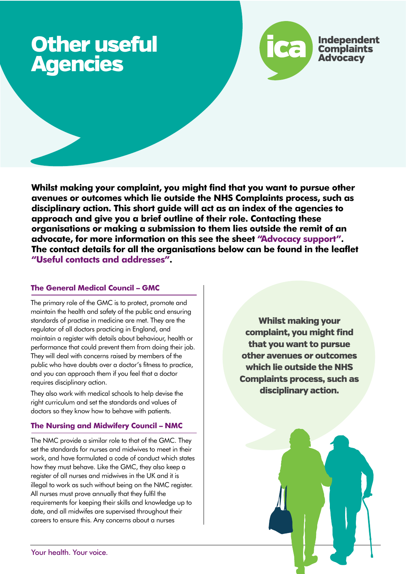# Other useful Agencies



**Whilst making your complaint, you might find that you want to pursue other avenues or outcomes which lie outside the NHS Complaints process, such as disciplinary action. This short guide will act as an index of the agencies to approach and give you a brief outline of their role. Contacting these organisations or making a submission to them lies outside the remit of an advocate, for more information on this see the sheet "Advocacy support". The contact details for all the organisations below can be found in the leaflet "Useful contacts and addresses".** 

## **The General Medical Council – GMC**

The primary role of the GMC is to protect, promote and maintain the health and safety of the public and ensuring standards of practise in medicine are met. They are the regulator of all doctors practicing in England, and maintain a register with details about behaviour, health or performance that could prevent them from doing their job. They will deal with concerns raised by members of the public who have doubts over a doctor's fitness to practice, and you can approach them if you feel that a doctor requires disciplinary action.

They also work with medical schools to help devise the right curriculum and set the standards and values of doctors so they know how to behave with patients.

## **The Nursing and Midwifery Council – NMC**

The NMC provide a similar role to that of the GMC. They set the standards for nurses and midwives to meet in their work, and have formulated a code of conduct which states how they must behave. Like the GMC, they also keep a register of all nurses and midwives in the UK and it is illegal to work as such without being on the NMC register. All nurses must prove annually that they fulfil the requirements for keeping their skills and knowledge up to date, and all midwifes are supervised throughout their careers to ensure this. Any concerns about a nurses

Whilst making your complaint, you might find that you want to pursue other avenues or outcomes which lie outside the NHS Complaints process, such as disciplinary action.